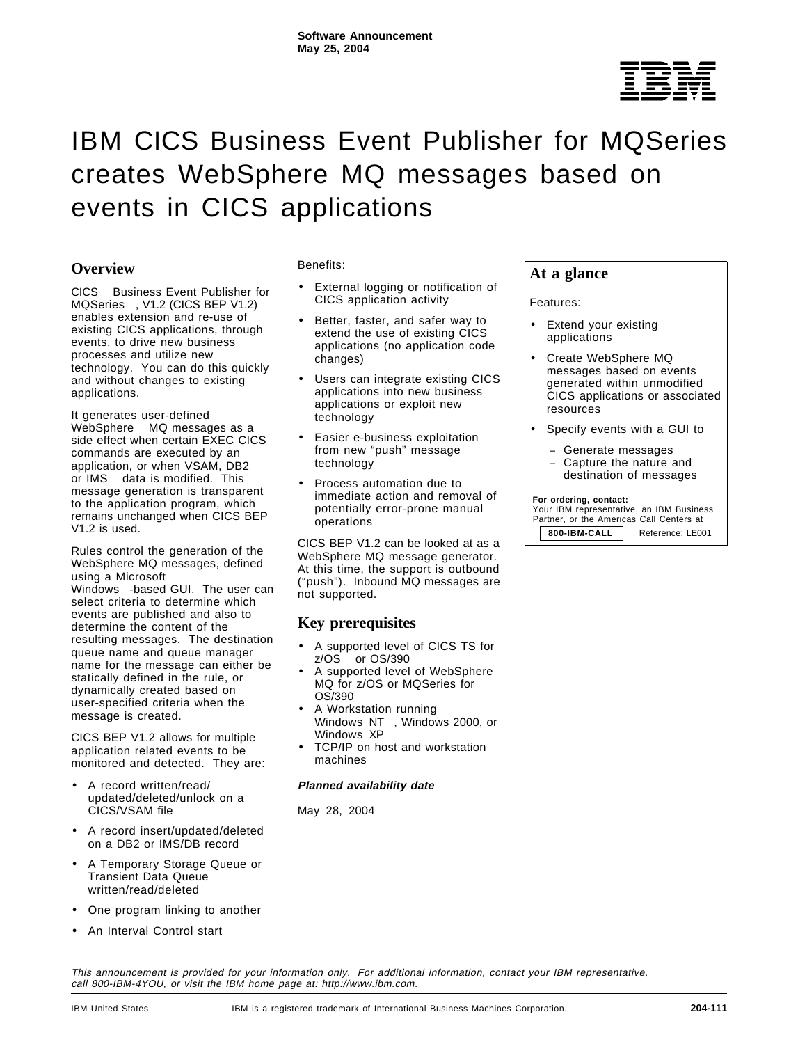

# IBM CICS Business Event Publisher for MQSeries creates WebSphere MQ messages based on events in CICS applications

# **Overview**

CICS<sup>®</sup> Business Event Publisher for MQSeries<sup>®</sup>, V1.2 (CICS BEP V1.2) enables extension and re-use of existing CICS applications, through events, to drive new business processes and utilize new technology. You can do this quickly and without changes to existing applications.

It generates user-defined WebSphere<sup>®</sup> MQ messages as a side effect when certain EXEC CICS commands are executed by an application, or when VSAM, DB2 or IMS™ data is modified. This message generation is transparent to the application program, which remains unchanged when CICS BEP V1.2 is used.

Rules control the generation of the WebSphere MQ messages, defined using a Microsoft™ Windows<sup>™</sup>-based GUI. The user can select criteria to determine which events are published and also to determine the content of the resulting messages. The destination queue name and queue manager name for the message can either be statically defined in the rule, or dynamically created based on user-specified criteria when the message is created.

CICS BEP V1.2 allows for multiple application related events to be monitored and detected. They are:

- A record written/read/ updated/deleted/unlock on a CICS/VSAM file
- A record insert/updated/deleted on a DB2 or IMS/DB record
- A Temporary Storage Queue or Transient Data Queue written/read/deleted
- One program linking to another
- An Interval Control start

#### Benefits:

- External logging or notification of CICS application activity
- Better, faster, and safer way to extend the use of existing CICS applications (no application code changes)
- Users can integrate existing CICS applications into new business applications or exploit new technology
- Easier e-business exploitation from new "push" message technology
- Process automation due to immediate action and removal of potentially error-prone manual operations

CICS BEP V1.2 can be looked at as a WebSphere MQ message generator. At this time, the support is outbound ("push"). Inbound MQ messages are not supported.

# **Key prerequisites**

- A supported level of CICS TS for  $z/OS$  or  $OS/390$ <sup>®</sup>
- A supported level of WebSphere MQ for z/OS or MQSeries for OS/390
- A Workstation running Windows NT™, Windows 2000, or Windows XP
- TCP/IP on host and workstation machines

#### **Planned availability date**

May 28, 2004

# **At a glance**

Features:

- Extend your existing applications
- Create WebSphere MQ messages based on events generated within unmodified CICS applications or associated resources
- Specify events with a GUI to
	- Generate messages
	- − Capture the nature and destination of messages

#### **For ordering, contact:**

 Your IBM representative, an IBM Business Partner, or the Americas Call Centers at **800-IBM-CALL** Reference: LE001

This announcement is provided for your information only. For additional information, contact your IBM representative, call 800-IBM-4YOU, or visit the IBM home page at: http://www.ibm.com.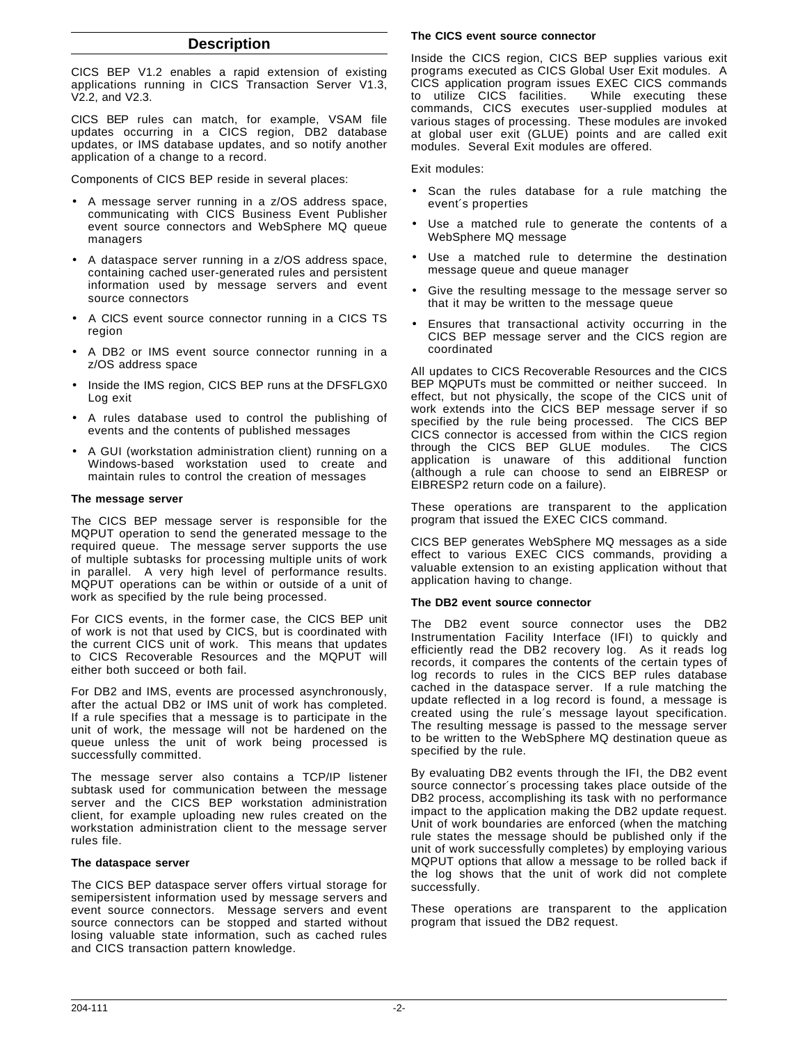# **Description**

CICS BEP V1.2 enables a rapid extension of existing applications running in CICS Transaction Server V1.3, V2.2, and V2.3.

CICS BEP rules can match, for example, VSAM file updates occurring in a CICS region, DB2 database updates, or IMS database updates, and so notify another application of a change to a record.

Components of CICS BEP reside in several places:

- A message server running in a z/OS address space, communicating with CICS Business Event Publisher event source connectors and WebSphere MQ queue managers
- A dataspace server running in a z/OS address space, containing cached user-generated rules and persistent information used by message servers and event source connectors
- A CICS event source connector running in a CICS TS region
- A DB2 or IMS event source connector running in a z/OS address space
- Inside the IMS region, CICS BEP runs at the DFSFLGX0 Log exit
- A rules database used to control the publishing of events and the contents of published messages
- A GUI (workstation administration client) running on a Windows-based workstation used to create and maintain rules to control the creation of messages

#### **The message server**

The CICS BEP message server is responsible for the MQPUT operation to send the generated message to the required queue. The message server supports the use of multiple subtasks for processing multiple units of work in parallel. A very high level of performance results. MQPUT operations can be within or outside of a unit of work as specified by the rule being processed.

For CICS events, in the former case, the CICS BEP unit of work is not that used by CICS, but is coordinated with the current CICS unit of work. This means that updates to CICS Recoverable Resources and the MQPUT will either both succeed or both fail.

For DB2 and IMS, events are processed asynchronously, after the actual DB2 or IMS unit of work has completed. If a rule specifies that a message is to participate in the unit of work, the message will not be hardened on the queue unless the unit of work being processed is successfully committed.

The message server also contains a TCP/IP listener subtask used for communication between the message server and the CICS BEP workstation administration client, for example uploading new rules created on the workstation administration client to the message server rules file.

#### **The dataspace server**

The CICS BEP dataspace server offers virtual storage for semipersistent information used by message servers and event source connectors. Message servers and event source connectors can be stopped and started without losing valuable state information, such as cached rules and CICS transaction pattern knowledge.

#### **The CICS event source connector**

Inside the CICS region, CICS BEP supplies various exit programs executed as CICS Global User Exit modules. A CICS application program issues EXEC CICS commands to utilize CICS facilities. While executing these commands, CICS executes user-supplied modules at various stages of processing. These modules are invoked at global user exit (GLUE) points and are called exit modules. Several Exit modules are offered.

Exit modules:

- Scan the rules database for a rule matching the event′s properties
- Use a matched rule to generate the contents of a WebSphere MQ message
- Use a matched rule to determine the destination message queue and queue manager
- Give the resulting message to the message server so that it may be written to the message queue
- Ensures that transactional activity occurring in the CICS BEP message server and the CICS region are coordinated

All updates to CICS Recoverable Resources and the CICS BEP MQPUTs must be committed or neither succeed. In effect, but not physically, the scope of the CICS unit of work extends into the CICS BEP message server if so specified by the rule being processed. The CICS BEP CICS connector is accessed from within the CICS region through the CICS BEP GLUE modules. The CICS application is unaware of this additional function (although a rule can choose to send an EIBRESP or EIBRESP2 return code on a failure).

These operations are transparent to the application program that issued the EXEC CICS command.

CICS BEP generates WebSphere MQ messages as a side effect to various EXEC CICS commands, providing a valuable extension to an existing application without that application having to change.

#### **The DB2 event source connector**

The DB2 event source connector uses the DB2 Instrumentation Facility Interface (IFI) to quickly and efficiently read the DB2 recovery log. As it reads log records, it compares the contents of the certain types of log records to rules in the CICS BEP rules database cached in the dataspace server. If a rule matching the update reflected in a log record is found, a message is created using the rule′s message layout specification. The resulting message is passed to the message server to be written to the WebSphere MQ destination queue as specified by the rule.

By evaluating DB2 events through the IFI, the DB2 event source connector′s processing takes place outside of the DB2 process, accomplishing its task with no performance impact to the application making the DB2 update request. Unit of work boundaries are enforced (when the matching rule states the message should be published only if the unit of work successfully completes) by employing various MQPUT options that allow a message to be rolled back if the log shows that the unit of work did not complete successfully.

These operations are transparent to the application program that issued the DB2 request.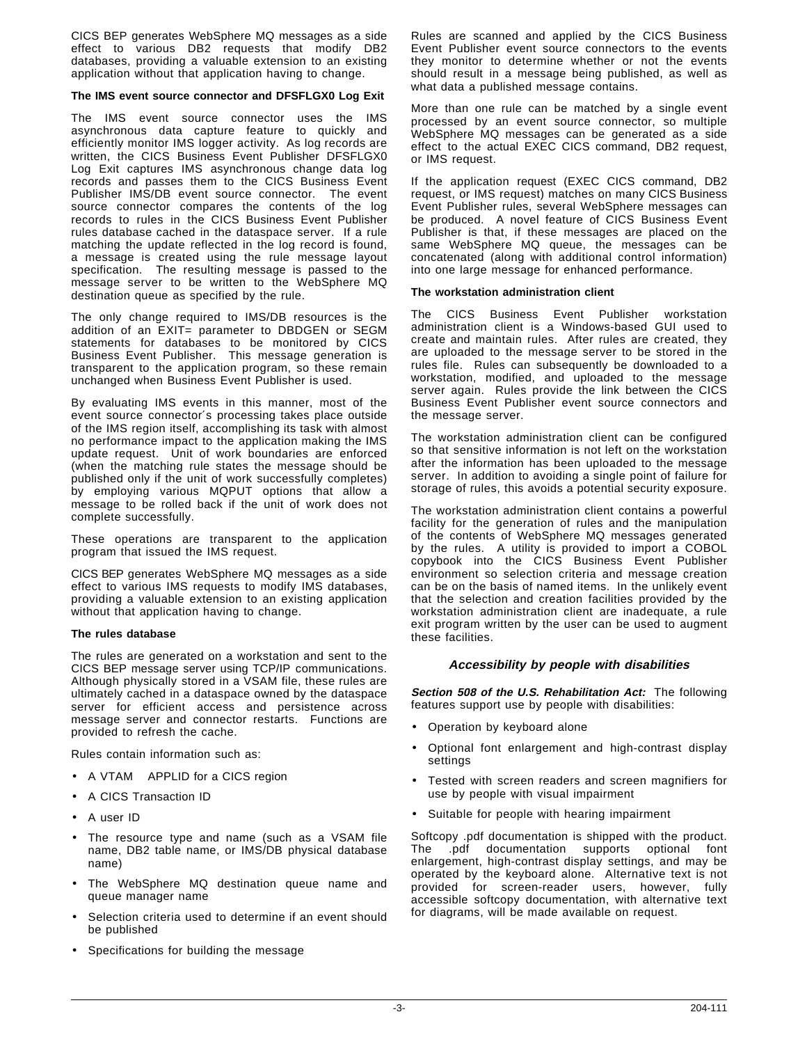CICS BEP generates WebSphere MQ messages as a side effect to various DB2 requests that modify DB2 databases, providing a valuable extension to an existing application without that application having to change.

#### **The IMS event source connector and DFSFLGX0 Log Exit**

The IMS event source connector uses the IMS asynchronous data capture feature to quickly and efficiently monitor IMS logger activity. As log records are written, the CICS Business Event Publisher DFSFLGX0 Log Exit captures IMS asynchronous change data log records and passes them to the CICS Business Event Publisher IMS/DB event source connector. The event source connector compares the contents of the log records to rules in the CICS Business Event Publisher rules database cached in the dataspace server. If a rule matching the update reflected in the log record is found, a message is created using the rule message layout specification. The resulting message is passed to the message server to be written to the WebSphere MQ destination queue as specified by the rule.

The only change required to IMS/DB resources is the addition of an EXIT= parameter to DBDGEN or SEGM statements for databases to be monitored by CICS Business Event Publisher. This message generation is transparent to the application program, so these remain unchanged when Business Event Publisher is used.

By evaluating IMS events in this manner, most of the event source connector′s processing takes place outside of the IMS region itself, accomplishing its task with almost no performance impact to the application making the IMS update request. Unit of work boundaries are enforced (when the matching rule states the message should be published only if the unit of work successfully completes) by employing various MQPUT options that allow a message to be rolled back if the unit of work does not complete successfully.

These operations are transparent to the application program that issued the IMS request.

CICS BEP generates WebSphere MQ messages as a side effect to various IMS requests to modify IMS databases, providing a valuable extension to an existing application without that application having to change.

#### **The rules database**

The rules are generated on a workstation and sent to the CICS BEP message server using TCP/IP communications. Although physically stored in a VSAM file, these rules are ultimately cached in a dataspace owned by the dataspace server for efficient access and persistence across message server and connector restarts. Functions are provided to refresh the cache.

Rules contain information such as:

- A VTAM® APPLID for a CICS region
- A CICS Transaction ID
- A user ID
- The resource type and name (such as a VSAM file name, DB2 table name, or IMS/DB physical database name)
- The WebSphere MQ destination queue name and queue manager name
- Selection criteria used to determine if an event should be published
- Specifications for building the message

Rules are scanned and applied by the CICS Business Event Publisher event source connectors to the events they monitor to determine whether or not the events should result in a message being published, as well as what data a published message contains.

More than one rule can be matched by a single event processed by an event source connector, so multiple WebSphere MQ messages can be generated as a side effect to the actual EXEC CICS command, DB2 request, or IMS request.

If the application request (EXEC CICS command, DB2 request, or IMS request) matches on many CICS Business Event Publisher rules, several WebSphere messages can be produced. A novel feature of CICS Business Event Publisher is that, if these messages are placed on the same WebSphere MQ queue, the messages can be concatenated (along with additional control information) into one large message for enhanced performance.

#### **The workstation administration client**

The CICS Business Event Publisher workstation administration client is a Windows-based GUI used to create and maintain rules. After rules are created, they are uploaded to the message server to be stored in the rules file. Rules can subsequently be downloaded to a workstation, modified, and uploaded to the message server again. Rules provide the link between the CICS Business Event Publisher event source connectors and the message server.

The workstation administration client can be configured so that sensitive information is not left on the workstation after the information has been uploaded to the message server. In addition to avoiding a single point of failure for storage of rules, this avoids a potential security exposure.

The workstation administration client contains a powerful facility for the generation of rules and the manipulation of the contents of WebSphere MQ messages generated by the rules. A utility is provided to import a COBOL copybook into the CICS Business Event Publisher environment so selection criteria and message creation can be on the basis of named items. In the unlikely event that the selection and creation facilities provided by the workstation administration client are inadequate, a rule exit program written by the user can be used to augment these facilities.

#### **Accessibility by people with disabilities**

**Section 508 of the U.S. Rehabilitation Act:** The following features support use by people with disabilities:

- Operation by keyboard alone
- Optional font enlargement and high-contrast display settings
- Tested with screen readers and screen magnifiers for use by people with visual impairment
- Suitable for people with hearing impairment

Softcopy .pdf documentation is shipped with the product. The .pdf documentation supports optional font enlargement, high-contrast display settings, and may be operated by the keyboard alone. Alternative text is not provided for screen-reader users, however, fully accessible softcopy documentation, with alternative text for diagrams, will be made available on request.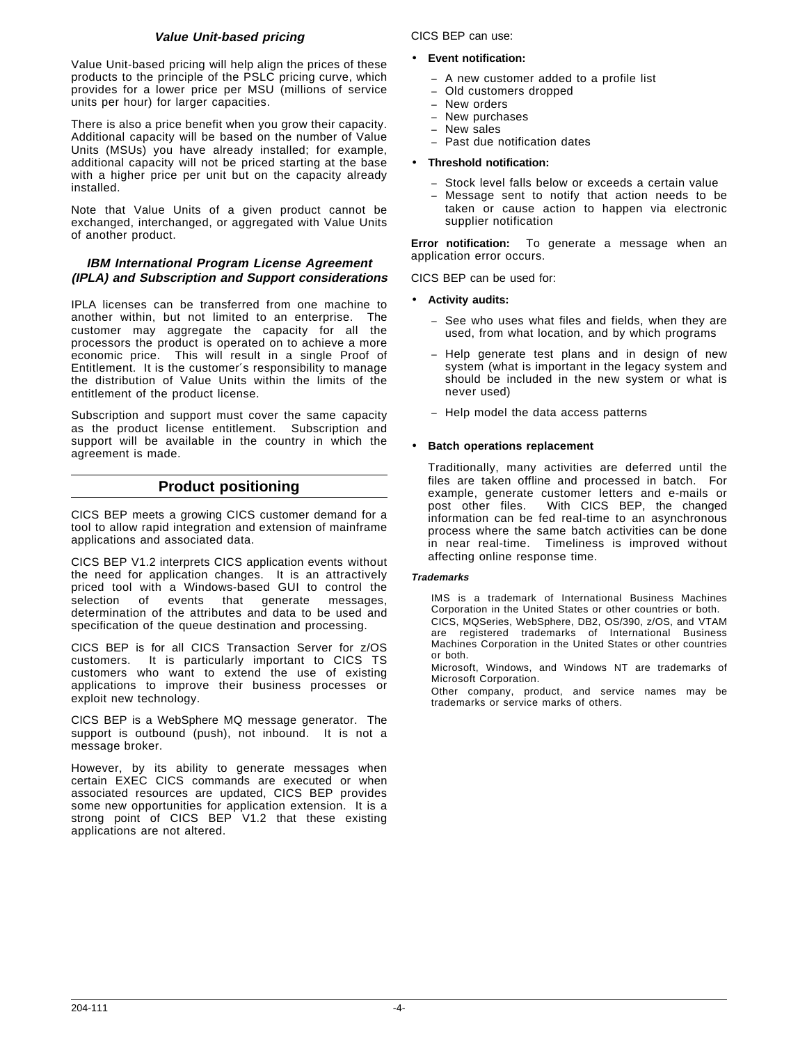# **Value Unit-based pricing**

Value Unit-based pricing will help align the prices of these products to the principle of the PSLC pricing curve, which provides for a lower price per MSU (millions of service units per hour) for larger capacities.

There is also a price benefit when you grow their capacity. Additional capacity will be based on the number of Value Units (MSUs) you have already installed; for example, additional capacity will not be priced starting at the base with a higher price per unit but on the capacity already installed.

Note that Value Units of a given product cannot be exchanged, interchanged, or aggregated with Value Units of another product.

## **IBM International Program License Agreement (IPLA) and Subscription and Support considerations**

IPLA licenses can be transferred from one machine to another within, but not limited to an enterprise. The customer may aggregate the capacity for all the processors the product is operated on to achieve a more economic price. This will result in a single Proof of Entitlement. It is the customer′s responsibility to manage the distribution of Value Units within the limits of the entitlement of the product license.

Subscription and support must cover the same capacity as the product license entitlement. Subscription and support will be available in the country in which the agreement is made.

# **Product positioning**

CICS BEP meets a growing CICS customer demand for a tool to allow rapid integration and extension of mainframe applications and associated data.

CICS BEP V1.2 interprets CICS application events without the need for application changes. It is an attractively priced tool with a Windows-based GUI to control the selection of events that generate messages, selection of events that generate messages, determination of the attributes and data to be used and specification of the queue destination and processing.

CICS BEP is for all CICS Transaction Server for z/OS customers. It is particularly important to CICS TS customers who want to extend the use of existing applications to improve their business processes or exploit new technology.

CICS BEP is a WebSphere MQ message generator. The support is outbound (push), not inbound. It is not a message broker.

However, by its ability to generate messages when certain EXEC CICS commands are executed or when associated resources are updated, CICS BEP provides some new opportunities for application extension. It is a strong point of CICS BEP V1.2 that these existing applications are not altered.

CICS BEP can use:

- **Event notification:**
	- − A new customer added to a profile list
	- − Old customers dropped
	- New orders
	- − New purchases
	- − New sales − Past due notification dates
	-

# • **Threshold notification:**

- − Stock level falls below or exceeds a certain value
- Message sent to notify that action needs to be taken or cause action to happen via electronic supplier notification

**Error notification:** To generate a message when an application error occurs.

CICS BEP can be used for:

- **Activity audits:**
	- See who uses what files and fields, when they are used, from what location, and by which programs
	- Help generate test plans and in design of new system (what is important in the legacy system and should be included in the new system or what is never used)
	- − Help model the data access patterns

## • **Batch operations replacement**

Traditionally, many activities are deferred until the files are taken offline and processed in batch. For example, generate customer letters and e-mails or<br>post other files. With CICS BEP, the changed With CICS BEP, the changed information can be fed real-time to an asynchronous process where the same batch activities can be done in near real-time. Timeliness is improved without affecting online response time.

#### **Trademarks**

IMS is a trademark of International Business Machines Corporation in the United States or other countries or both. CICS, MQSeries, WebSphere, DB2, OS/390, z/OS, and VTAM are registered trademarks of International Business Machines Corporation in the United States or other countries or both.

Microsoft, Windows, and Windows NT are trademarks of Microsoft Corporation.

Other company, product, and service names may be trademarks or service marks of others.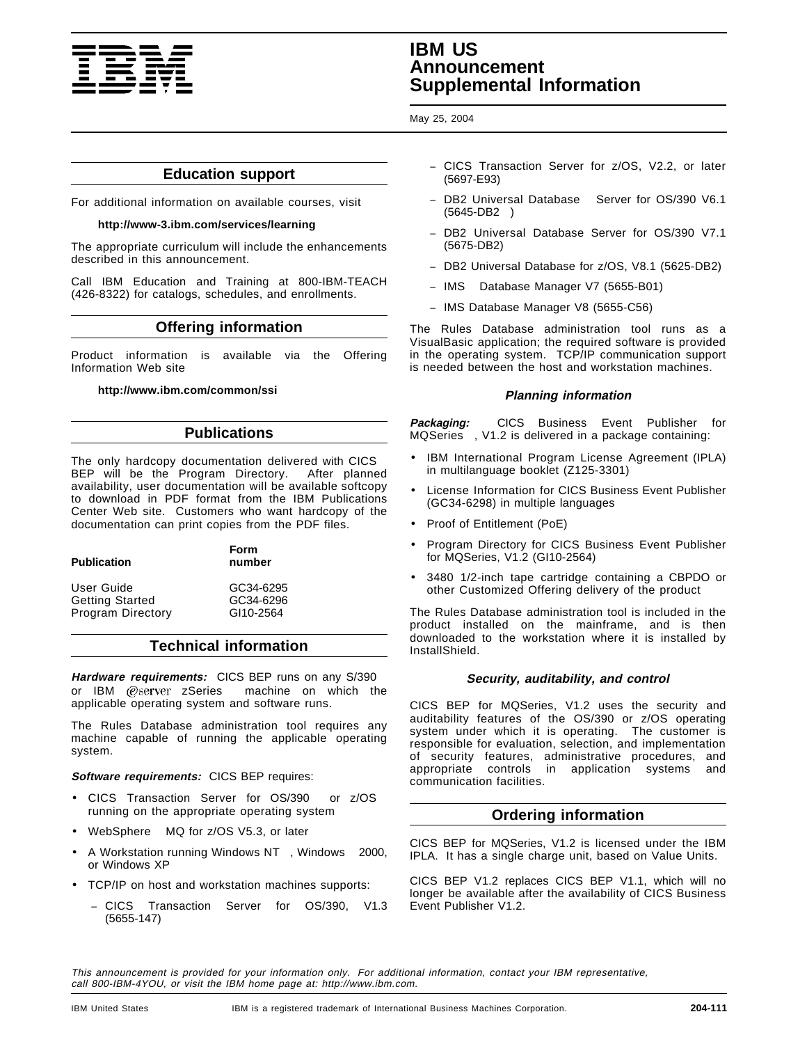

# **IBM US Announcement Supplemental Information**

May 25, 2004

# **Education support**

For additional information on available courses, visit

#### **http://www-3.ibm.com/services/learning**

The appropriate curriculum will include the enhancements described in this announcement.

Call IBM Education and Training at 800-IBM-TEACH (426-8322) for catalogs, schedules, and enrollments.

# **Offering information**

Product information is available via the Offering Information Web site

## **http://www.ibm.com/common/ssi**

# **Publications**

The only hardcopy documentation delivered with CICS BEP will be the Program Directory. After planned availability, user documentation will be available softcopy to download in PDF format from the IBM Publications Center Web site. Customers who want hardcopy of the documentation can print copies from the PDF files.

| <b>Publication</b>       | Form<br>number |
|--------------------------|----------------|
| User Guide               | GC34-6295      |
| <b>Getting Started</b>   | GC34-6296      |
| <b>Program Directory</b> | GI10-2564      |

# **Technical information**

**Hardware requirements:** CICS BEP runs on any S/390 or IBM @server zSeries<sup>®</sup> machine on which the applicable operating system and software runs.

The Rules Database administration tool requires any machine capable of running the applicable operating system.

## **Software requirements:** CICS BEP requires:

- CICS Transaction Server for OS/390® or z/OS® running on the appropriate operating system
- WebSphere<sup>®</sup> MQ for z/OS V5.3, or later
- A Workstation running Windows NT™, Windows™ 2000, or Windows XP
- TCP/IP on host and workstation machines supports:
	- − CICS Transaction Server for OS/390, V1.3 (5655-147)
- − CICS Transaction Server for z/OS, V2.2, or later (5697-E93)
- − DB2 Universal Database Server for OS/390 V6.1  $(5645-DB2)$
- − DB2 Universal Database Server for OS/390 V7.1 (5675-DB2)
- − DB2 Universal Database for z/OS, V8.1 (5625-DB2)
- − IMS Database Manager V7 (5655-B01)
- − IMS Database Manager V8 (5655-C56)

The Rules Database administration tool runs as a VisualBasic application; the required software is provided in the operating system. TCP/IP communication support is needed between the host and workstation machines.

## **Planning information**

**Packaging:** CICS Business Event Publisher for MQSeries<sup>®</sup>, V1.2 is delivered in a package containing:

- IBM International Program License Agreement (IPLA) in multilanguage booklet (Z125-3301)
- License Information for CICS Business Event Publisher (GC34-6298) in multiple languages
- Proof of Entitlement (PoE)
- Program Directory for CICS Business Event Publisher for MQSeries, V1.2 (GI10-2564)
- 3480 1/2-inch tape cartridge containing a CBPDO or other Customized Offering delivery of the product

The Rules Database administration tool is included in the product installed on the mainframe, and is then downloaded to the workstation where it is installed by InstallShield.

## **Security, auditability, and control**

CICS BEP for MQSeries, V1.2 uses the security and auditability features of the OS/390 or z/OS operating system under which it is operating. The customer is responsible for evaluation, selection, and implementation of security features, administrative procedures, and appropriate controls in application systems and communication facilities.

# **Ordering information**

CICS BEP for MQSeries, V1.2 is licensed under the IBM IPLA. It has a single charge unit, based on Value Units.

CICS BEP V1.2 replaces CICS BEP V1.1, which will no longer be available after the availability of CICS Business Event Publisher V1.2.

This announcement is provided for your information only. For additional information, contact your IBM representative, call 800-IBM-4YOU, or visit the IBM home page at: http://www.ibm.com.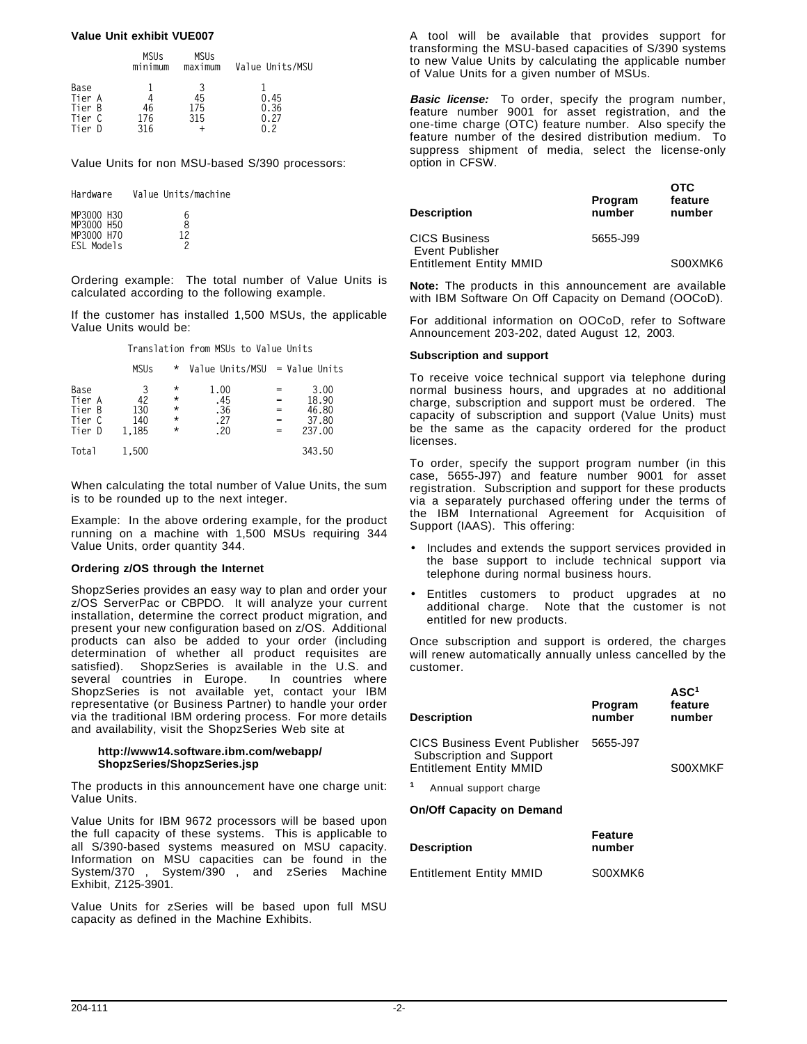## **Value Unit exhibit VUE007**

|                          | <b>MSUs</b><br>minimum | <b>MSUs</b><br>maximum | Value Units/MSU |
|--------------------------|------------------------|------------------------|-----------------|
| Base<br>Tier A<br>Tier B | 46                     | 45<br>175              | 0.45<br>0.36    |
| Tier C<br>Tier D         | 176<br>316             | 315                    | 0.27            |

Value Units for non MSU-based S/390 processors:

| Hardware   | Value Units/machine |
|------------|---------------------|
| MP3000 H30 | 6                   |
| MP3000 H50 | R                   |
| MP3000 H70 | 12                  |
| ESL Models | 2                   |

Ordering example: The total number of Value Units is calculated according to the following example.

If the customer has installed 1,500 MSUs, the applicable Value Units would be:

**Translation from MSUs to Value Units**

|                                              | <b>MSUs</b>                    | *                                                      | Value Units/MSU = Value Units     |            |                                           |
|----------------------------------------------|--------------------------------|--------------------------------------------------------|-----------------------------------|------------|-------------------------------------------|
| Base<br>Tier A<br>Tier B<br>Tier C<br>Tier D | 3<br>42<br>130<br>140<br>1.185 | $^\star$<br>$^\star$<br>$\star$<br>$\star$<br>$^\star$ | 1.00<br>.45<br>.36<br>.27<br>. 20 | $=$<br>$=$ | 3.00<br>18.90<br>46.80<br>37.80<br>237.00 |
| Total                                        | 1.500                          |                                                        |                                   |            | 343.50                                    |

When calculating the total number of Value Units, the sum is to be rounded up to the next integer.

Example: In the above ordering example, for the product running on a machine with 1,500 MSUs requiring 344 Value Units, order quantity 344.

#### **Ordering z/OS through the Internet**

ShopzSeries provides an easy way to plan and order your z/OS ServerPac or CBPDO. It will analyze your current installation, determine the correct product migration, and present your new configuration based on z/OS. Additional products can also be added to your order (including determination of whether all product requisites are satisfied). ShopzSeries is available in the U.S. and several countries in Europe. In countries where ShopzSeries is not available yet, contact your IBM representative (or Business Partner) to handle your order via the traditional IBM ordering process. For more details and availability, visit the ShopzSeries Web site at

#### **http://www14.software.ibm.com/webapp/ ShopzSeries/ShopzSeries.jsp**

The products in this announcement have one charge unit: Value Units.

Value Units for IBM 9672 processors will be based upon the full capacity of these systems. This is applicable to all S/390-based systems measured on MSU capacity. Information on MSU capacities can be found in the System/370™, System/390®, and zSeries Machine Exhibit, Z125-3901.

Value Units for zSeries will be based upon full MSU capacity as defined in the Machine Exhibits.

A tool will be available that provides support for transforming the MSU-based capacities of S/390 systems to new Value Units by calculating the applicable number of Value Units for a given number of MSUs.

**Basic license:** To order, specify the program number, feature number 9001 for asset registration, and the one-time charge (OTC) feature number. Also specify the feature number of the desired distribution medium. To suppress shipment of media, select the license-only option in CFSW.

| <b>Description</b>                      | Program<br>number | <b>OTC</b><br>feature<br>number |
|-----------------------------------------|-------------------|---------------------------------|
| <b>CICS Business</b><br>Event Publisher | 5655-J99          |                                 |
| <b>Entitlement Entity MMID</b>          |                   | S00XMK6                         |

**Note:** The products in this announcement are available with IBM Software On Off Capacity on Demand (OOCoD).

For additional information on OOCoD, refer to Software Announcement 203-202, dated August 12, 2003.

## **Subscription and support**

To receive voice technical support via telephone during normal business hours, and upgrades at no additional charge, subscription and support must be ordered. The capacity of subscription and support (Value Units) must be the same as the capacity ordered for the product licenses.

To order, specify the support program number (in this case, 5655-J97) and feature number 9001 for asset registration. Subscription and support for these products via a separately purchased offering under the terms of the IBM International Agreement for Acquisition of Support (IAAS). This offering:

- Includes and extends the support services provided in the base support to include technical support via telephone during normal business hours.
- Entitles customers to product upgrades at no additional charge. Note that the customer is not entitled for new products.

Once subscription and support is ordered, the charges will renew automatically annually unless cancelled by the customer.

| <b>Description</b>                                                                          | Program<br>number | ASC <sup>1</sup><br>feature<br>number |
|---------------------------------------------------------------------------------------------|-------------------|---------------------------------------|
| CICS Business Event Publisher<br>Subscription and Support<br><b>Entitlement Entity MMID</b> | 5655-J97          | S00XMKF                               |
| Annual support charge                                                                       |                   |                                       |
| <b>On/Off Capacity on Demand</b>                                                            |                   |                                       |
| <b>Description</b>                                                                          | Feature<br>number |                                       |
| <b>Entitlement Entity MMID</b>                                                              | S00XMK6           |                                       |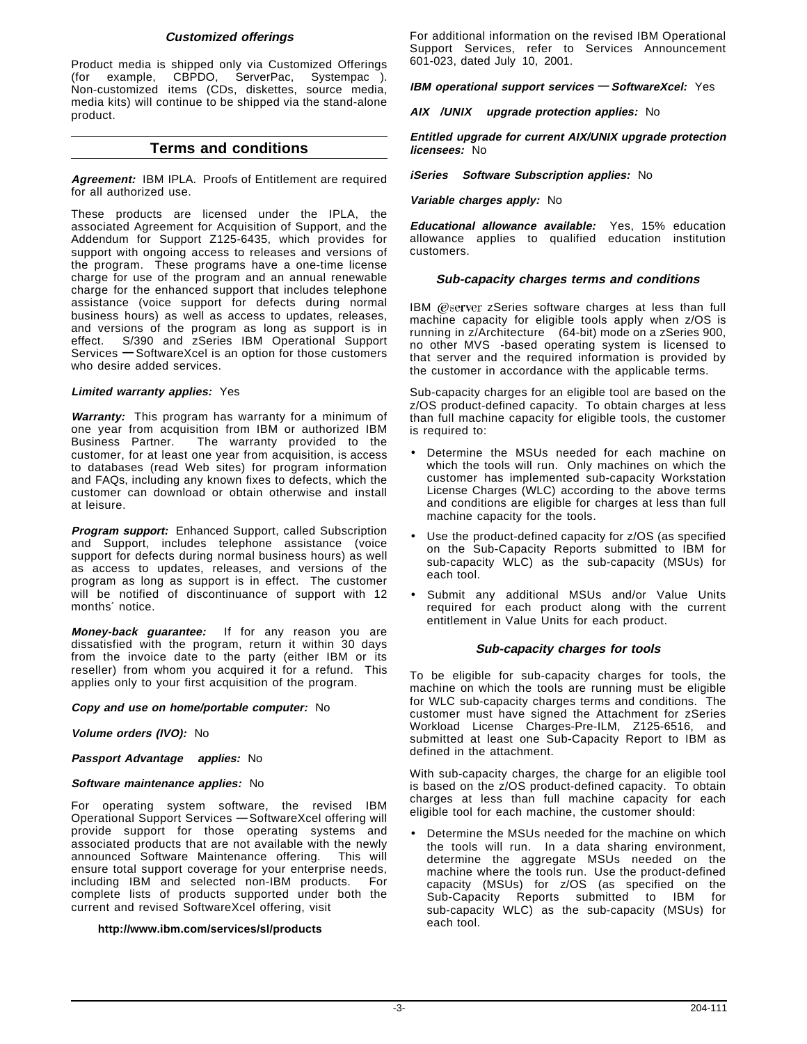## **Customized offerings**

Product media is shipped only via Customized Offerings (for example, CBPDO, ServerPac, Systempac®). Non-customized items (CDs, diskettes, source media, media kits) will continue to be shipped via the stand-alone product.

# **Terms and conditions**

**Agreement:** IBM IPLA. Proofs of Entitlement are required for all authorized use.

These products are licensed under the IPLA, the associated Agreement for Acquisition of Support, and the Addendum for Support Z125-6435, which provides for support with ongoing access to releases and versions of the program. These programs have a one-time license charge for use of the program and an annual renewable charge for the enhanced support that includes telephone assistance (voice support for defects during normal business hours) as well as access to updates, releases, and versions of the program as long as support is in effect. S/390 and zSeries IBM Operational Support Services **—** SoftwareXcel is an option for those customers who desire added services.

## **Limited warranty applies:** Yes

**Warranty:** This program has warranty for a minimum of one year from acquisition from IBM or authorized IBM<br>Business Partner. The warranty provided to the The warranty provided to the customer, for at least one year from acquisition, is access to databases (read Web sites) for program information and FAQs, including any known fixes to defects, which the customer can download or obtain otherwise and install at leisure.

**Program support:** Enhanced Support, called Subscription and Support, includes telephone assistance (voice support for defects during normal business hours) as well as access to updates, releases, and versions of the program as long as support is in effect. The customer will be notified of discontinuance of support with 12 months′ notice.

**Money-back guarantee:** If for any reason you are dissatisfied with the program, return it within 30 days from the invoice date to the party (either IBM or its reseller) from whom you acquired it for a refund. This applies only to your first acquisition of the program.

**Copy and use on home/portable computer:** No

## **Volume orders (IVO):** No

**Passport Advantage applies:** No

#### **Software maintenance applies:** No

For operating system software, the revised IBM Operational Support Services **—** SoftwareXcel offering will provide support for those operating systems and associated products that are not available with the newly announced Software Maintenance offering. This will ensure total support coverage for your enterprise needs, including IBM and selected non-IBM products. For complete lists of products supported under both the current and revised SoftwareXcel offering, visit

#### **http://www.ibm.com/services/sl/products**

For additional information on the revised IBM Operational Support Services, refer to Services Announcement 601-023, dated July 10, 2001.

**IBM operational support services — SoftwareXcel:** Yes

**AIX /UNIX upgrade protection applies:** No

**Entitled upgrade for current AIX/UNIX upgrade protection licensees:** No

**iSeries Software Subscription applies:** No

**Variable charges apply:** No

**Educational allowance available:** Yes, 15% education allowance applies to qualified education institution customers.

## **Sub-capacity charges terms and conditions**

IBM @server zSeries software charges at less than full machine capacity for eligible tools apply when z/OS is running in z/Architecture<sup>™</sup> (64-bit) mode on a zSeries 900, no other MVS™-based operating system is licensed to that server and the required information is provided by the customer in accordance with the applicable terms.

Sub-capacity charges for an eligible tool are based on the z/OS product-defined capacity. To obtain charges at less than full machine capacity for eligible tools, the customer is required to:

- Determine the MSUs needed for each machine on which the tools will run. Only machines on which the customer has implemented sub-capacity Workstation License Charges (WLC) according to the above terms and conditions are eligible for charges at less than full machine capacity for the tools.
- Use the product-defined capacity for z/OS (as specified on the Sub-Capacity Reports submitted to IBM for sub-capacity WLC) as the sub-capacity (MSUs) for each tool.
- Submit any additional MSUs and/or Value Units required for each product along with the current entitlement in Value Units for each product.

## **Sub-capacity charges for tools**

To be eligible for sub-capacity charges for tools, the machine on which the tools are running must be eligible for WLC sub-capacity charges terms and conditions. The customer must have signed the Attachment for zSeries Workload License Charges-Pre-ILM, Z125-6516, and submitted at least one Sub-Capacity Report to IBM as defined in the attachment.

With sub-capacity charges, the charge for an eligible tool is based on the z/OS product-defined capacity. To obtain charges at less than full machine capacity for each eligible tool for each machine, the customer should:

Determine the MSUs needed for the machine on which the tools will run. In a data sharing environment, determine the aggregate MSUs needed on the machine where the tools run. Use the product-defined capacity (MSUs) for z/OS (as specified on the Sub-Capacity Reports submitted to IBM for sub-capacity WLC) as the sub-capacity (MSUs) for each tool.